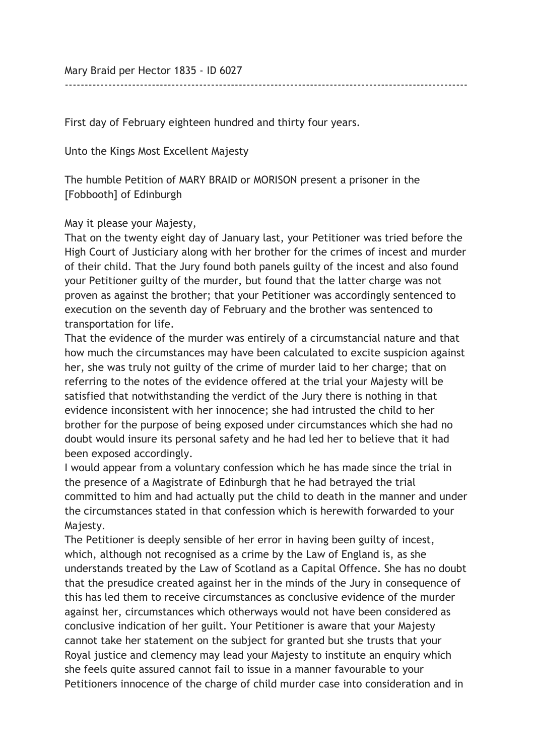Mary Braid per Hector 1835 - ID 6027

First day of February eighteen hundred and thirty four years.

Unto the Kings Most Excellent Majesty

The humble Petition of MARY BRAID or MORISON present a prisoner in the [Fobbooth] of Edinburgh

May it please your Majesty,

That on the twenty eight day of January last, your Petitioner was tried before the High Court of Justiciary along with her brother for the crimes of incest and murder of their child. That the Jury found both panels guilty of the incest and also found your Petitioner guilty of the murder, but found that the latter charge was not proven as against the brother; that your Petitioner was accordingly sentenced to execution on the seventh day of February and the brother was sentenced to transportation for life.

------------------------------------------------------------------------------------------------------

That the evidence of the murder was entirely of a circumstancial nature and that how much the circumstances may have been calculated to excite suspicion against her, she was truly not guilty of the crime of murder laid to her charge; that on referring to the notes of the evidence offered at the trial your Majesty will be satisfied that notwithstanding the verdict of the Jury there is nothing in that evidence inconsistent with her innocence; she had intrusted the child to her brother for the purpose of being exposed under circumstances which she had no doubt would insure its personal safety and he had led her to believe that it had been exposed accordingly.

I would appear from a voluntary confession which he has made since the trial in the presence of a Magistrate of Edinburgh that he had betrayed the trial committed to him and had actually put the child to death in the manner and under the circumstances stated in that confession which is herewith forwarded to your Majesty.

The Petitioner is deeply sensible of her error in having been guilty of incest, which, although not recognised as a crime by the Law of England is, as she understands treated by the Law of Scotland as a Capital Offence. She has no doubt that the presudice created against her in the minds of the Jury in consequence of this has led them to receive circumstances as conclusive evidence of the murder against her, circumstances which otherways would not have been considered as conclusive indication of her guilt. Your Petitioner is aware that your Majesty cannot take her statement on the subject for granted but she trusts that your Royal justice and clemency may lead your Majesty to institute an enquiry which she feels quite assured cannot fail to issue in a manner favourable to your Petitioners innocence of the charge of child murder case into consideration and in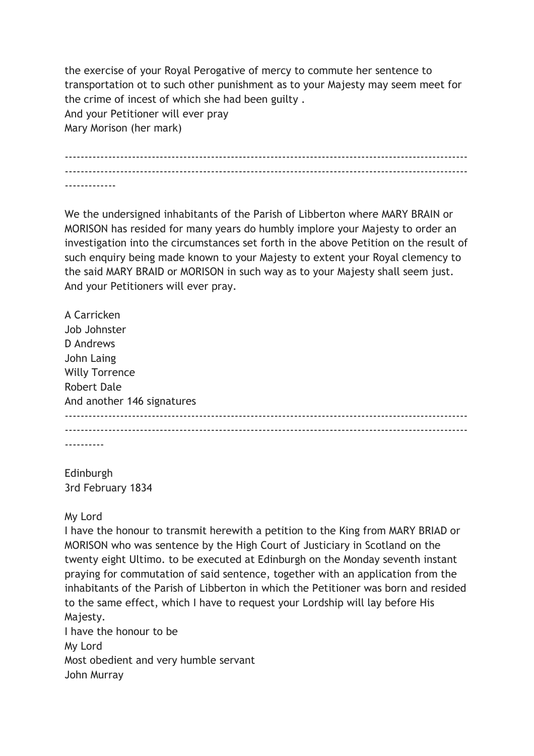the exercise of your Royal Perogative of mercy to commute her sentence to transportation ot to such other punishment as to your Majesty may seem meet for the crime of incest of which she had been guilty . And your Petitioner will ever pray Mary Morison (her mark)

------------------------------------------------------------------------------------------------------ ------------------------------------------------------------------------------------------------------ -------------

We the undersigned inhabitants of the Parish of Libberton where MARY BRAIN or MORISON has resided for many years do humbly implore your Majesty to order an investigation into the circumstances set forth in the above Petition on the result of such enquiry being made known to your Majesty to extent your Royal clemency to the said MARY BRAID or MORISON in such way as to your Majesty shall seem just. And your Petitioners will ever pray.

A Carricken Job Johnster D Andrews John Laing Willy Torrence Robert Dale And another 146 signatures ------------------------------------------------------------------------------------------------------ ------------------------------------------------------------------------------------------------------ ----------

Edinburgh 3rd February 1834

My Lord

I have the honour to transmit herewith a petition to the King from MARY BRIAD or MORISON who was sentence by the High Court of Justiciary in Scotland on the twenty eight Ultimo. to be executed at Edinburgh on the Monday seventh instant praying for commutation of said sentence, together with an application from the inhabitants of the Parish of Libberton in which the Petitioner was born and resided to the same effect, which I have to request your Lordship will lay before His Majesty.

I have the honour to be My Lord Most obedient and very humble servant John Murray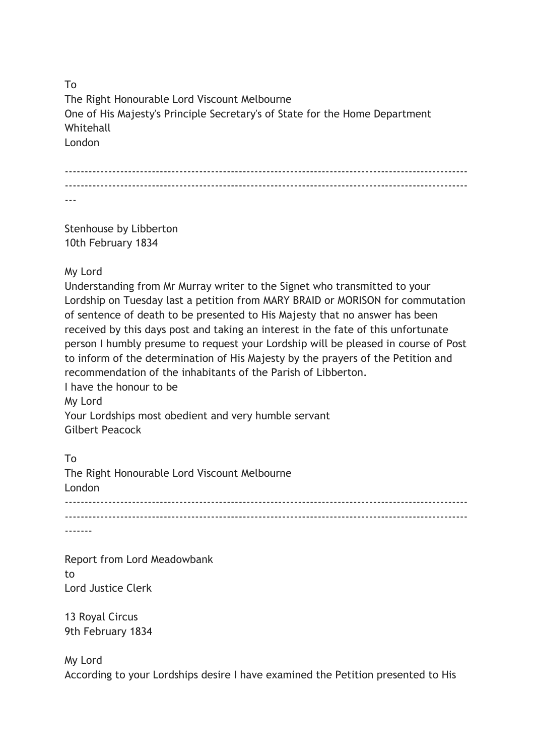To The Right Honourable Lord Viscount Melbourne One of His Majesty's Principle Secretary's of State for the Home Department **Whitehall** London

------------------------------------------------------------------------------------------------------ ------------------------------------------------------------------------------------------------------ ---

Stenhouse by Libberton 10th February 1834

My Lord

Understanding from Mr Murray writer to the Signet who transmitted to your Lordship on Tuesday last a petition from MARY BRAID or MORISON for commutation of sentence of death to be presented to His Majesty that no answer has been received by this days post and taking an interest in the fate of this unfortunate person I humbly presume to request your Lordship will be pleased in course of Post to inform of the determination of His Majesty by the prayers of the Petition and recommendation of the inhabitants of the Parish of Libberton.

I have the honour to be My Lord Your Lordships most obedient and very humble servant Gilbert Peacock

To The Right Honourable Lord Viscount Melbourne London ------------------------------------------------------------------------------------------------------ ------------------------------------------------------------------------------------------------------ -------

Report from Lord Meadowbank to Lord Justice Clerk

13 Royal Circus 9th February 1834

My Lord According to your Lordships desire I have examined the Petition presented to His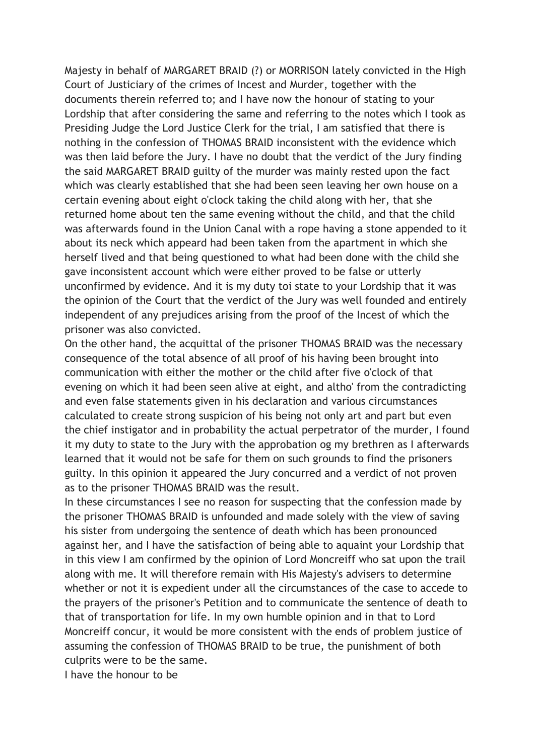Majesty in behalf of MARGARET BRAID (?) or MORRISON lately convicted in the High Court of Justiciary of the crimes of Incest and Murder, together with the documents therein referred to; and I have now the honour of stating to your Lordship that after considering the same and referring to the notes which I took as Presiding Judge the Lord Justice Clerk for the trial, I am satisfied that there is nothing in the confession of THOMAS BRAID inconsistent with the evidence which was then laid before the Jury. I have no doubt that the verdict of the Jury finding the said MARGARET BRAID guilty of the murder was mainly rested upon the fact which was clearly established that she had been seen leaving her own house on a certain evening about eight o'clock taking the child along with her, that she returned home about ten the same evening without the child, and that the child was afterwards found in the Union Canal with a rope having a stone appended to it about its neck which appeard had been taken from the apartment in which she herself lived and that being questioned to what had been done with the child she gave inconsistent account which were either proved to be false or utterly unconfirmed by evidence. And it is my duty toi state to your Lordship that it was the opinion of the Court that the verdict of the Jury was well founded and entirely independent of any prejudices arising from the proof of the Incest of which the prisoner was also convicted.

On the other hand, the acquittal of the prisoner THOMAS BRAID was the necessary consequence of the total absence of all proof of his having been brought into communication with either the mother or the child after five o'clock of that evening on which it had been seen alive at eight, and altho' from the contradicting and even false statements given in his declaration and various circumstances calculated to create strong suspicion of his being not only art and part but even the chief instigator and in probability the actual perpetrator of the murder, I found it my duty to state to the Jury with the approbation og my brethren as I afterwards learned that it would not be safe for them on such grounds to find the prisoners guilty. In this opinion it appeared the Jury concurred and a verdict of not proven as to the prisoner THOMAS BRAID was the result.

In these circumstances I see no reason for suspecting that the confession made by the prisoner THOMAS BRAID is unfounded and made solely with the view of saving his sister from undergoing the sentence of death which has been pronounced against her, and I have the satisfaction of being able to aquaint your Lordship that in this view I am confirmed by the opinion of Lord Moncreiff who sat upon the trail along with me. It will therefore remain with His Majesty's advisers to determine whether or not it is expedient under all the circumstances of the case to accede to the prayers of the prisoner's Petition and to communicate the sentence of death to that of transportation for life. In my own humble opinion and in that to Lord Moncreiff concur, it would be more consistent with the ends of problem justice of assuming the confession of THOMAS BRAID to be true, the punishment of both culprits were to be the same.

I have the honour to be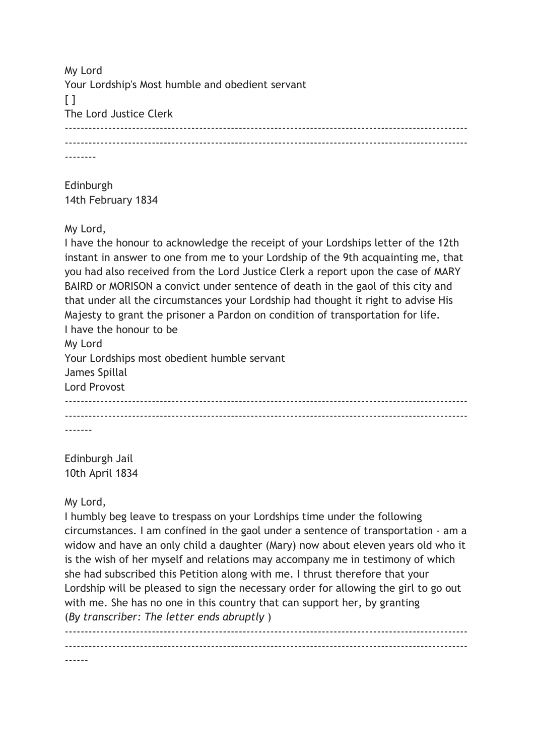My Lord Your Lordship's Most humble and obedient servant  $\lceil$   $\rceil$ The Lord Justice Clerk ------------------------------------------------------------------------------------------------------ ------------------------------------------------------------------------------------------------------ --------

Edinburgh 14th February 1834

My Lord,

I have the honour to acknowledge the receipt of your Lordships letter of the 12th instant in answer to one from me to your Lordship of the 9th acquainting me, that you had also received from the Lord Justice Clerk a report upon the case of MARY BAIRD or MORISON a convict under sentence of death in the gaol of this city and that under all the circumstances your Lordship had thought it right to advise His Majesty to grant the prisoner a Pardon on condition of transportation for life. I have the honour to be My Lord Your Lordships most obedient humble servant James Spillal Lord Provost ------------------------------------------------------------------------------------------------------ ------------------------------------------------------------------------------------------------------ -------

Edinburgh Jail 10th April 1834

## My Lord,

I humbly beg leave to trespass on your Lordships time under the following circumstances. I am confined in the gaol under a sentence of transportation - am a widow and have an only child a daughter (Mary) now about eleven years old who it is the wish of her myself and relations may accompany me in testimony of which she had subscribed this Petition along with me. I thrust therefore that your Lordship will be pleased to sign the necessary order for allowing the girl to go out with me. She has no one in this country that can support her, by granting (By transcriber: The letter ends abruptly )

------------------------------------------------------------------------------------------------------ ------------------------------------------------------------------------------------------------------ ------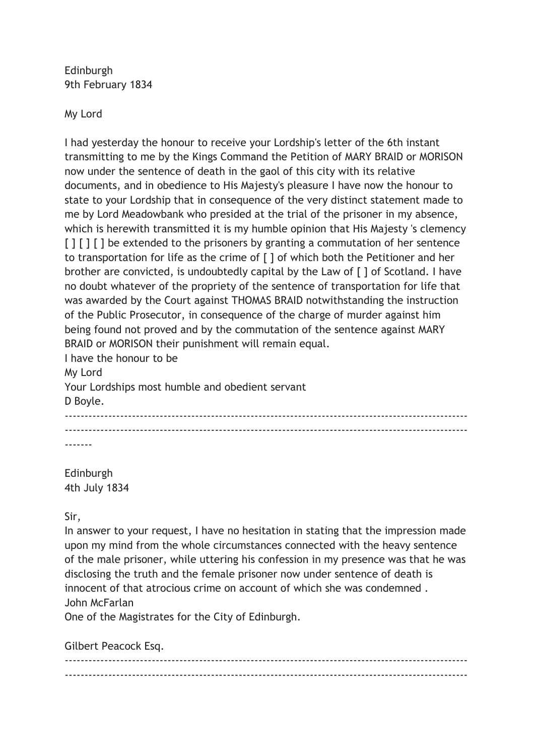Edinburgh 9th February 1834

My Lord

I had yesterday the honour to receive your Lordship's letter of the 6th instant transmitting to me by the Kings Command the Petition of MARY BRAID or MORISON now under the sentence of death in the gaol of this city with its relative documents, and in obedience to His Majesty's pleasure I have now the honour to state to your Lordship that in consequence of the very distinct statement made to me by Lord Meadowbank who presided at the trial of the prisoner in my absence, which is herewith transmitted it is my humble opinion that His Majesty 's clemency [ ] [ ] [ ] be extended to the prisoners by granting a commutation of her sentence to transportation for life as the crime of [ ] of which both the Petitioner and her brother are convicted, is undoubtedly capital by the Law of [ ] of Scotland. I have no doubt whatever of the propriety of the sentence of transportation for life that was awarded by the Court against THOMAS BRAID notwithstanding the instruction of the Public Prosecutor, in consequence of the charge of murder against him being found not proved and by the commutation of the sentence against MARY BRAID or MORISON their punishment will remain equal.

I have the honour to be My Lord Your Lordships most humble and obedient servant D Boyle. ------------------------------------------------------------------------------------------------------ ------------------------------------------------------------------------------------------------------ -------

Edinburgh 4th July 1834

Sir,

In answer to your request, I have no hesitation in stating that the impression made upon my mind from the whole circumstances connected with the heavy sentence of the male prisoner, while uttering his confession in my presence was that he was disclosing the truth and the female prisoner now under sentence of death is innocent of that atrocious crime on account of which she was condemned . John McFarlan

One of the Magistrates for the City of Edinburgh.

Gilbert Peacock Esq.

------------------------------------------------------------------------------------------------------ ------------------------------------------------------------------------------------------------------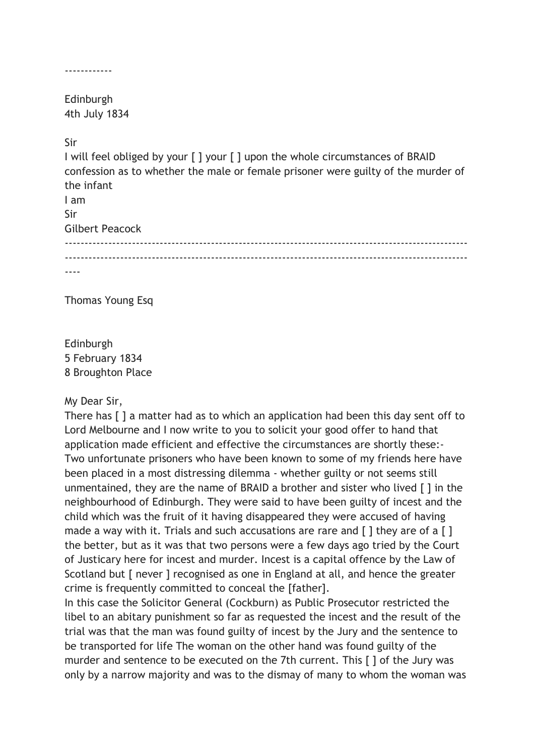------------

Edinburgh 4th July 1834

Sir

I will feel obliged by your [ ] your [ ] upon the whole circumstances of BRAID confession as to whether the male or female prisoner were guilty of the murder of the infant I am Sir Gilbert Peacock ------------------------------------------------------------------------------------------------------ ------------------------------------------------------------------------------------------------------ ----

Thomas Young Esq

Edinburgh 5 February 1834 8 Broughton Place

## My Dear Sir,

There has [ ] a matter had as to which an application had been this day sent off to Lord Melbourne and I now write to you to solicit your good offer to hand that application made efficient and effective the circumstances are shortly these:- Two unfortunate prisoners who have been known to some of my friends here have been placed in a most distressing dilemma - whether guilty or not seems still unmentained, they are the name of BRAID a brother and sister who lived [ ] in the neighbourhood of Edinburgh. They were said to have been guilty of incest and the child which was the fruit of it having disappeared they were accused of having made a way with it. Trials and such accusations are rare and  $\lceil \cdot \rceil$  they are of a  $\lceil \cdot \rceil$ the better, but as it was that two persons were a few days ago tried by the Court of Justicary here for incest and murder. Incest is a capital offence by the Law of Scotland but [ never ] recognised as one in England at all, and hence the greater crime is frequently committed to conceal the [father].

In this case the Solicitor General (Cockburn) as Public Prosecutor restricted the libel to an abitary punishment so far as requested the incest and the result of the trial was that the man was found guilty of incest by the Jury and the sentence to be transported for life The woman on the other hand was found guilty of the murder and sentence to be executed on the 7th current. This [ ] of the Jury was only by a narrow majority and was to the dismay of many to whom the woman was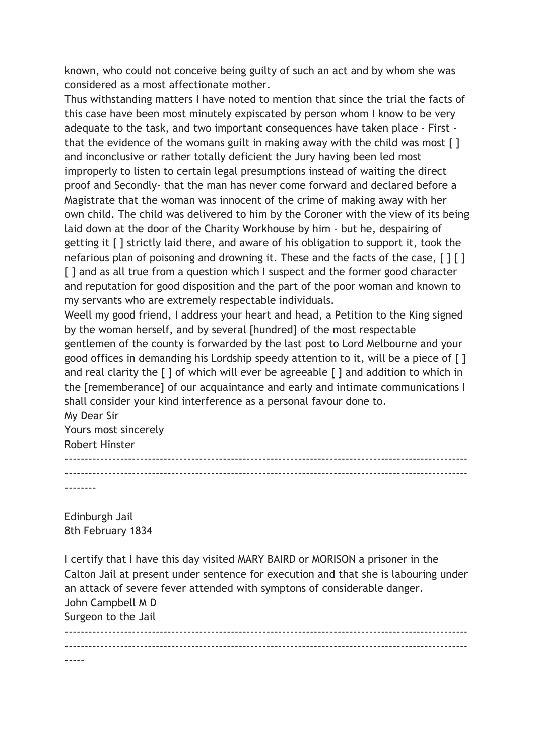known, who could not conceive being guilty of such an act and by whom she was considered as a most affectionate mother.

Thus withstanding matters I have noted to mention that since the trial the facts of this case have been most minutely expiscated by person whom I know to be very adequate to the task, and two important consequences have taken place - First that the evidence of the womans guilt in making away with the child was most [] and inconclusive or rather totally deficient the Jury having been led most improperly to listen to certain legal presumptions instead of waiting the direct proof and Secondly- that the man has never come forward and declared before a Magistrate that the woman was innocent of the crime of making away with her own child. The child was delivered to him by the Coroner with the view of its being laid down at the door of the Charity Workhouse by him - but he, despairing of getting it [ ] strictly laid there, and aware of his obligation to support it, took the nefarious plan of poisoning and drowning it. These and the facts of the case, [][] [] and as all true from a question which I suspect and the former good character and reputation for good disposition and the part of the poor woman and known to my servants who are extremely respectable individuals.

Weell my good friend, I address your heart and head, a Petition to the King signed by the woman herself, and by several [hundred] of the most respectable gentlemen of the county is forwarded by the last post to Lord Melbourne and your good offices in demanding his Lordship speedy attention to it, will be a piece of [ ] and real clarity the  $\lceil \cdot \rceil$  of which will ever be agreeable  $\lceil \cdot \rceil$  and addition to which in the [rememberance] of our acquaintance and early and intimate communications I shall consider your kind interference as a personal favour done to.

My Dear Sir Yours most sincerely Robert Hinster ------------------------------------------------------------------------------------------------------ ------------------------------------------------------------------------------------------------------

--------

Edinburgh Jail 8th February 1834

I certify that I have this day visited MARY BAIRD or MORISON a prisoner in the Calton Jail at present under sentence for execution and that she is labouring under an attack of severe fever attended with symptons of considerable danger. John Campbell M D Surgeon to the Jail ------------------------------------------------------------------------------------------------------

------------------------------------------------------------------------------------------------------ -----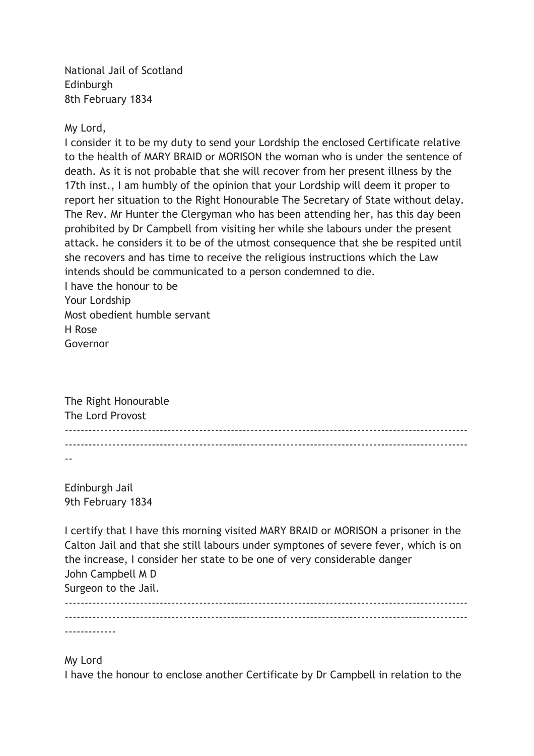National Jail of Scotland Edinburgh 8th February 1834

My Lord,

I consider it to be my duty to send your Lordship the enclosed Certificate relative to the health of MARY BRAID or MORISON the woman who is under the sentence of death. As it is not probable that she will recover from her present illness by the 17th inst., I am humbly of the opinion that your Lordship will deem it proper to report her situation to the Right Honourable The Secretary of State without delay. The Rev. Mr Hunter the Clergyman who has been attending her, has this day been prohibited by Dr Campbell from visiting her while she labours under the present attack. he considers it to be of the utmost consequence that she be respited until she recovers and has time to receive the religious instructions which the Law intends should be communicated to a person condemned to die.

I have the honour to be Your Lordship Most obedient humble servant H Rose Governor

The Right Honourable The Lord Provost ------------------------------------------------------------------------------------------------------ ------------------------------------------------------------------------------------------------------ --

Edinburgh Jail 9th February 1834

I certify that I have this morning visited MARY BRAID or MORISON a prisoner in the Calton Jail and that she still labours under symptones of severe fever, which is on the increase, I consider her state to be one of very considerable danger John Campbell M D Surgeon to the Jail. ------------------------------------------------------------------------------------------------------  $-$ 

-------------

My Lord

I have the honour to enclose another Certificate by Dr Campbell in relation to the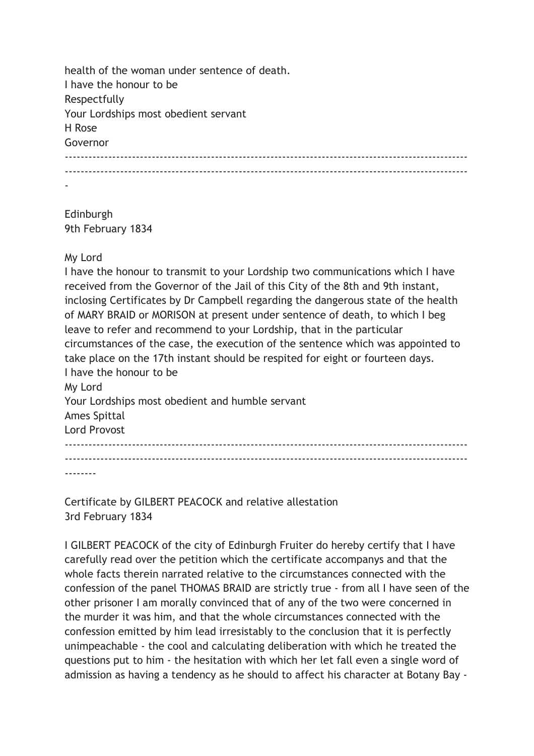health of the woman under sentence of death. I have the honour to be Respectfully Your Lordships most obedient servant H Rose Governor ------------------------------------------------------------------------------------------------------ ------------------------------------------------------------------------------------------------------ -

Edinburgh 9th February 1834

## My Lord

I have the honour to transmit to your Lordship two communications which I have received from the Governor of the Jail of this City of the 8th and 9th instant, inclosing Certificates by Dr Campbell regarding the dangerous state of the health of MARY BRAID or MORISON at present under sentence of death, to which I beg leave to refer and recommend to your Lordship, that in the particular circumstances of the case, the execution of the sentence which was appointed to take place on the 17th instant should be respited for eight or fourteen days. I have the honour to be My Lord Your Lordships most obedient and humble servant Ames Spittal Lord Provost ------------------------------------------------------------------------------------------------------ ------------------------------------------------------------------------------------------------------ --------

Certificate by GILBERT PEACOCK and relative allestation 3rd February 1834

I GILBERT PEACOCK of the city of Edinburgh Fruiter do hereby certify that I have carefully read over the petition which the certificate accompanys and that the whole facts therein narrated relative to the circumstances connected with the confession of the panel THOMAS BRAID are strictly true - from all I have seen of the other prisoner I am morally convinced that of any of the two were concerned in the murder it was him, and that the whole circumstances connected with the confession emitted by him lead irresistably to the conclusion that it is perfectly unimpeachable - the cool and calculating deliberation with which he treated the questions put to him - the hesitation with which her let fall even a single word of admission as having a tendency as he should to affect his character at Botany Bay -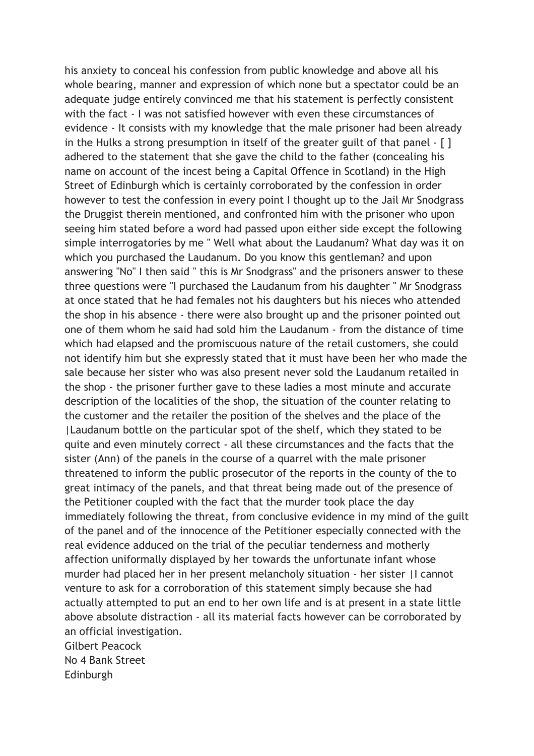his anxiety to conceal his confession from public knowledge and above all his whole bearing, manner and expression of which none but a spectator could be an adequate judge entirely convinced me that his statement is perfectly consistent with the fact - I was not satisfied however with even these circumstances of evidence - It consists with my knowledge that the male prisoner had been already in the Hulks a strong presumption in itself of the greater guilt of that panel - [ ] adhered to the statement that she gave the child to the father (concealing his name on account of the incest being a Capital Offence in Scotland) in the High Street of Edinburgh which is certainly corroborated by the confession in order however to test the confession in every point I thought up to the Jail Mr Snodgrass the Druggist therein mentioned, and confronted him with the prisoner who upon seeing him stated before a word had passed upon either side except the following simple interrogatories by me " Well what about the Laudanum? What day was it on which you purchased the Laudanum. Do you know this gentleman? and upon answering "No" I then said " this is Mr Snodgrass" and the prisoners answer to these three questions were "I purchased the Laudanum from his daughter " Mr Snodgrass at once stated that he had females not his daughters but his nieces who attended the shop in his absence - there were also brought up and the prisoner pointed out one of them whom he said had sold him the Laudanum - from the distance of time which had elapsed and the promiscuous nature of the retail customers, she could not identify him but she expressly stated that it must have been her who made the sale because her sister who was also present never sold the Laudanum retailed in the shop - the prisoner further gave to these ladies a most minute and accurate description of the localities of the shop, the situation of the counter relating to the customer and the retailer the position of the shelves and the place of the |Laudanum bottle on the particular spot of the shelf, which they stated to be quite and even minutely correct - all these circumstances and the facts that the sister (Ann) of the panels in the course of a quarrel with the male prisoner threatened to inform the public prosecutor of the reports in the county of the to great intimacy of the panels, and that threat being made out of the presence of the Petitioner coupled with the fact that the murder took place the day immediately following the threat, from conclusive evidence in my mind of the guilt of the panel and of the innocence of the Petitioner especially connected with the real evidence adduced on the trial of the peculiar tenderness and motherly affection uniformally displayed by her towards the unfortunate infant whose murder had placed her in her present melancholy situation - her sister |I cannot venture to ask for a corroboration of this statement simply because she had actually attempted to put an end to her own life and is at present in a state little above absolute distraction - all its material facts however can be corroborated by an official investigation. Gilbert Peacock No 4 Bank Street Edinburgh